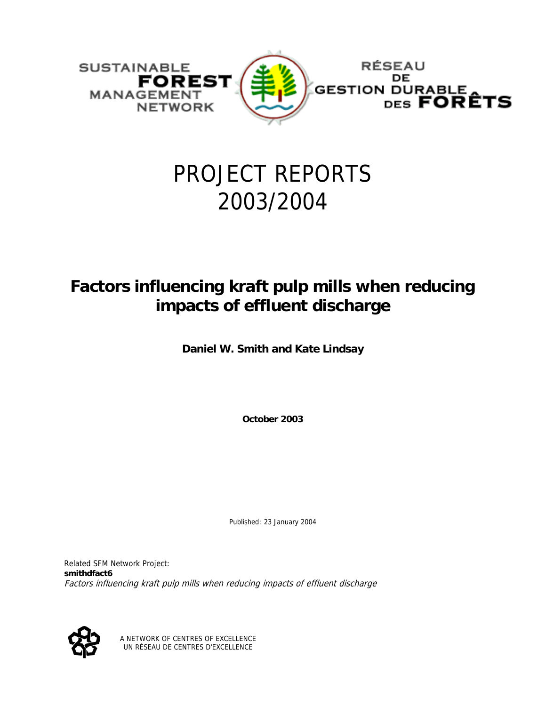

# PROJECT REPORTS 2003/2004

# **Factors influencing kraft pulp mills when reducing impacts of effluent discharge**

**Daniel W. Smith and Kate Lindsay** 

**October 2003** 

Published: 23 January 2004

Related SFM Network Project: **smithdfact6** Factors influencing kraft pulp mills when reducing impacts of effluent discharge



A NETWORK OF CENTRES OF EXCELLENCE UN RÉSEAU DE CENTRES D'EXCELLENCE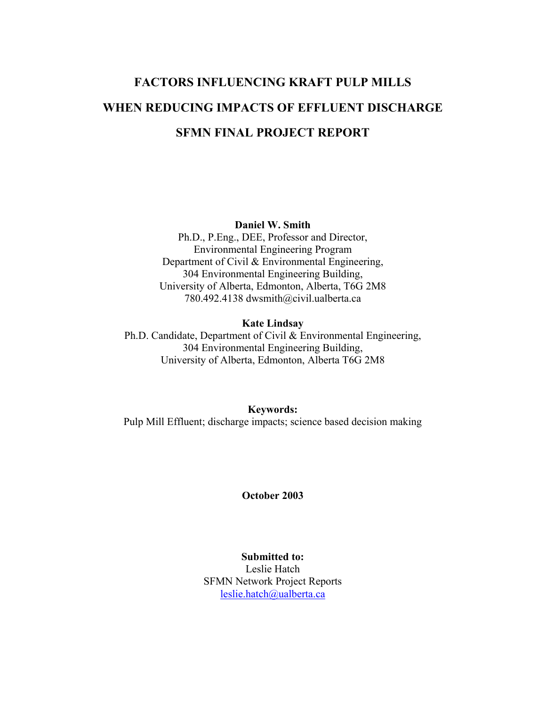# **FACTORS INFLUENCING KRAFT PULP MILLS WHEN REDUCING IMPACTS OF EFFLUENT DISCHARGE SFMN FINAL PROJECT REPORT**

**Daniel W. Smith** 

Ph.D., P.Eng., DEE, Professor and Director, Environmental Engineering Program Department of Civil & Environmental Engineering, 304 Environmental Engineering Building, University of Alberta, Edmonton, Alberta, T6G 2M8 780.492.4138 dwsmith@civil.ualberta.ca

#### **Kate Lindsay**

Ph.D. Candidate, Department of Civil & Environmental Engineering, 304 Environmental Engineering Building, University of Alberta, Edmonton, Alberta T6G 2M8

**Keywords:** Pulp Mill Effluent; discharge impacts; science based decision making

#### **October 2003**

**Submitted to:** Leslie Hatch SFMN Network Project Reports [leslie.hatch@ualberta.ca](mailto:leslie.hatch@uablerta.ca)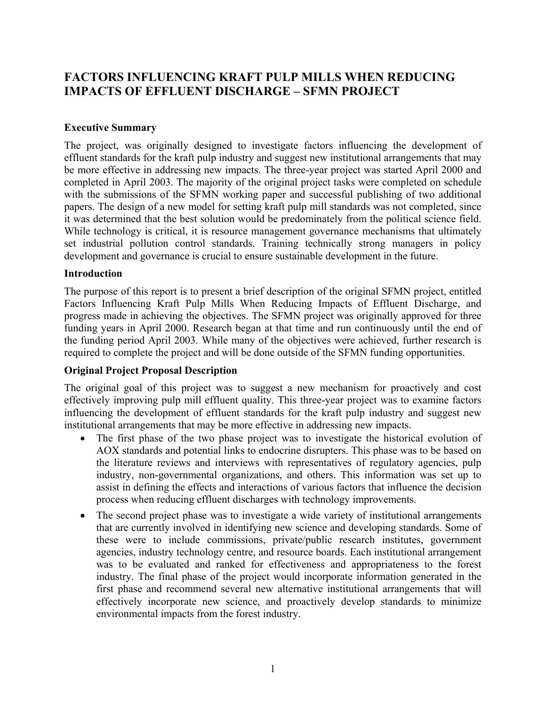## **FACTORS INFLUENCING KRAFT PULP MILLS WHEN REDUCING IMPACTS OF EFFLUENT DISCHARGE – SFMN PROJECT**

#### **Executive Summary**

The project, was originally designed to investigate factors influencing the development of effluent standards for the kraft pulp industry and suggest new institutional arrangements that may be more effective in addressing new impacts. The three-year project was started April 2000 and completed in April 2003. The majority of the original project tasks were completed on schedule with the submissions of the SFMN working paper and successful publishing of two additional papers. The design of a new model for setting kraft pulp mill standards was not completed, since it was determined that the best solution would be predominately from the political science field. While technology is critical, it is resource management governance mechanisms that ultimately set industrial pollution control standards. Training technically strong managers in policy development and governance is crucial to ensure sustainable development in the future.

#### **Introduction**

The purpose of this report is to present a brief description of the original SFMN project, entitled Factors Influencing Kraft Pulp Mills When Reducing Impacts of Effluent Discharge, and progress made in achieving the objectives. The SFMN project was originally approved for three funding years in April 2000. Research began at that time and run continuously until the end of the funding period April 2003. While many of the objectives were achieved, further research is required to complete the project and will be done outside of the SFMN funding opportunities.

#### **Original Project Proposal Description**

The original goal of this project was to suggest a new mechanism for proactively and cost effectively improving pulp mill effluent quality. This three-year project was to examine factors influencing the development of effluent standards for the kraft pulp industry and suggest new institutional arrangements that may be more effective in addressing new impacts.

- The first phase of the two phase project was to investigate the historical evolution of AOX standards and potential links to endocrine disrupters. This phase was to be based on the literature reviews and interviews with representatives of regulatory agencies, pulp industry, non-governmental organizations, and others. This information was set up to assist in defining the effects and interactions of various factors that influence the decision process when reducing effluent discharges with technology improvements.
- The second project phase was to investigate a wide variety of institutional arrangements that are currently involved in identifying new science and developing standards. Some of these were to include commissions, private/public research institutes, government agencies, industry technology centre, and resource boards. Each institutional arrangement was to be evaluated and ranked for effectiveness and appropriateness to the forest industry. The final phase of the project would incorporate information generated in the first phase and recommend several new alternative institutional arrangements that will effectively incorporate new science, and proactively develop standards to minimize environmental impacts from the forest industry.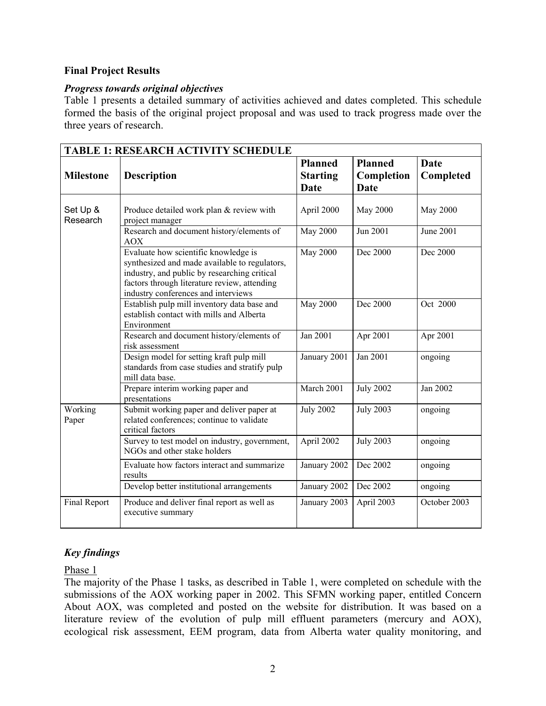#### **Final Project Results**

#### *Progress towards original objectives*

Table 1 presents a detailed summary of activities achieved and dates completed. This schedule formed the basis of the original project proposal and was used to track progress made over the three years of research.

| <b>TABLE 1: RESEARCH ACTIVITY SCHEDULE</b> |                                                                                                                                                                                                                              |                  |                  |                 |
|--------------------------------------------|------------------------------------------------------------------------------------------------------------------------------------------------------------------------------------------------------------------------------|------------------|------------------|-----------------|
|                                            |                                                                                                                                                                                                                              | <b>Planned</b>   | <b>Planned</b>   | Date            |
| <b>Milestone</b>                           | <b>Description</b>                                                                                                                                                                                                           | <b>Starting</b>  | Completion       | Completed       |
|                                            |                                                                                                                                                                                                                              | <b>Date</b>      | <b>Date</b>      |                 |
| Set Up &                                   | Produce detailed work plan & review with                                                                                                                                                                                     | April 2000       | May 2000         | <b>May 2000</b> |
| Research                                   | project manager                                                                                                                                                                                                              |                  |                  |                 |
|                                            | Research and document history/elements of<br>AOX                                                                                                                                                                             | <b>May 2000</b>  | Jun 2001         | June 2001       |
|                                            | Evaluate how scientific knowledge is<br>synthesized and made available to regulators,<br>industry, and public by researching critical<br>factors through literature review, attending<br>industry conferences and interviews | <b>May 2000</b>  | Dec 2000         | Dec 2000        |
|                                            | Establish pulp mill inventory data base and<br>establish contact with mills and Alberta<br>Environment                                                                                                                       | <b>May 2000</b>  | Dec 2000         | Oct 2000        |
|                                            | Research and document history/elements of<br>risk assessment                                                                                                                                                                 | Jan 2001         | Apr 2001         | Apr 2001        |
|                                            | Design model for setting kraft pulp mill<br>standards from case studies and stratify pulp<br>mill data base.                                                                                                                 | January 2001     | Jan 2001         | ongoing         |
|                                            | Prepare interim working paper and<br>presentations                                                                                                                                                                           | March 2001       | <b>July 2002</b> | Jan 2002        |
| Working<br>Paper                           | Submit working paper and deliver paper at<br>related conferences; continue to validate<br>critical factors                                                                                                                   | <b>July 2002</b> | <b>July 2003</b> | ongoing         |
|                                            | Survey to test model on industry, government,<br>NGOs and other stake holders                                                                                                                                                | April 2002       | <b>July 2003</b> | ongoing         |
|                                            | Evaluate how factors interact and summarize<br>results                                                                                                                                                                       | January 2002     | Dec 2002         | ongoing         |
|                                            | Develop better institutional arrangements                                                                                                                                                                                    | January 2002     | Dec 2002         | ongoing         |
| Final Report                               | Produce and deliver final report as well as<br>executive summary                                                                                                                                                             | January 2003     | April 2003       | October 2003    |

### *Key findings*

Phase 1

The majority of the Phase 1 tasks, as described in Table 1, were completed on schedule with the submissions of the AOX working paper in 2002. This SFMN working paper, entitled Concern About AOX, was completed and posted on the website for distribution. It was based on a literature review of the evolution of pulp mill effluent parameters (mercury and AOX), ecological risk assessment, EEM program, data from Alberta water quality monitoring, and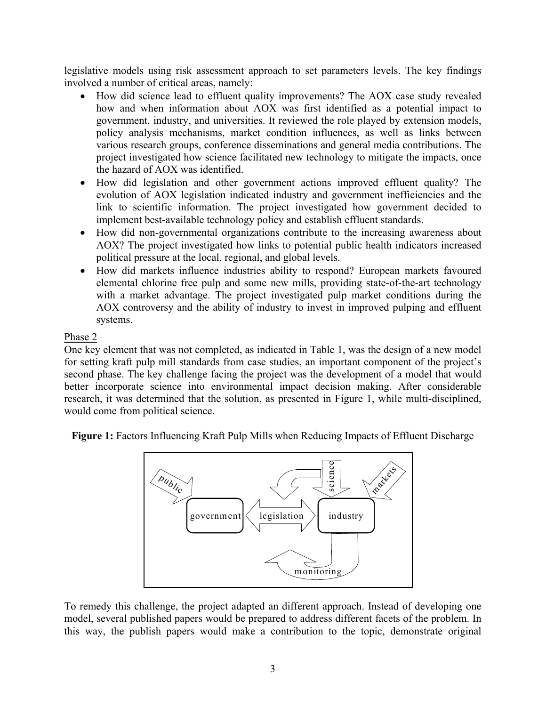legislative models using risk assessment approach to set parameters levels. The key findings involved a number of critical areas, namely:

- How did science lead to effluent quality improvements? The AOX case study revealed how and when information about AOX was first identified as a potential impact to government, industry, and universities. It reviewed the role played by extension models, policy analysis mechanisms, market condition influences, as well as links between various research groups, conference disseminations and general media contributions. The project investigated how science facilitated new technology to mitigate the impacts, once the hazard of AOX was identified.
- How did legislation and other government actions improved effluent quality? The evolution of AOX legislation indicated industry and government inefficiencies and the link to scientific information. The project investigated how government decided to implement best-available technology policy and establish effluent standards.
- How did non-governmental organizations contribute to the increasing awareness about AOX? The project investigated how links to potential public health indicators increased political pressure at the local, regional, and global levels.
- How did markets influence industries ability to respond? European markets favoured elemental chlorine free pulp and some new mills, providing state-of-the-art technology with a market advantage. The project investigated pulp market conditions during the AOX controversy and the ability of industry to invest in improved pulping and effluent systems.

#### Phase 2

One key element that was not completed, as indicated in Table 1, was the design of a new model for setting kraft pulp mill standards from case studies, an important component of the project's second phase. The key challenge facing the project was the development of a model that would better incorporate science into environmental impact decision making. After considerable research, it was determined that the solution, as presented in Figure 1, while multi-disciplined, would come from political science.

**Figure 1:** Factors Influencing Kraft Pulp Mills when Reducing Impacts of Effluent Discharge



To remedy this challenge, the project adapted an different approach. Instead of developing one model, several published papers would be prepared to address different facets of the problem. In this way, the publish papers would make a contribution to the topic, demonstrate original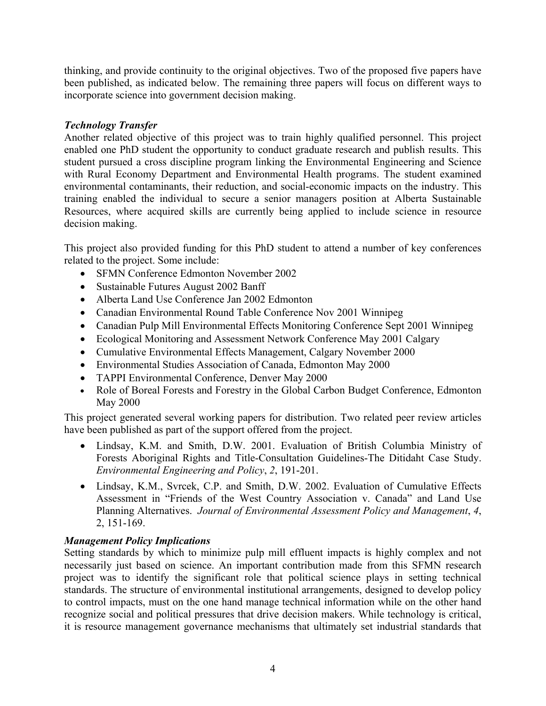thinking, and provide continuity to the original objectives. Two of the proposed five papers have been published, as indicated below. The remaining three papers will focus on different ways to incorporate science into government decision making.

#### *Technology Transfer*

Another related objective of this project was to train highly qualified personnel. This project enabled one PhD student the opportunity to conduct graduate research and publish results. This student pursued a cross discipline program linking the Environmental Engineering and Science with Rural Economy Department and Environmental Health programs. The student examined environmental contaminants, their reduction, and social-economic impacts on the industry. This training enabled the individual to secure a senior managers position at Alberta Sustainable Resources, where acquired skills are currently being applied to include science in resource decision making.

This project also provided funding for this PhD student to attend a number of key conferences related to the project. Some include:

- SFMN Conference Edmonton November 2002
- Sustainable Futures August 2002 Banff
- Alberta Land Use Conference Jan 2002 Edmonton
- Canadian Environmental Round Table Conference Nov 2001 Winnipeg
- Canadian Pulp Mill Environmental Effects Monitoring Conference Sept 2001 Winnipeg
- Ecological Monitoring and Assessment Network Conference May 2001 Calgary
- Cumulative Environmental Effects Management, Calgary November 2000
- Environmental Studies Association of Canada, Edmonton May 2000
- TAPPI Environmental Conference, Denver May 2000
- Role of Boreal Forests and Forestry in the Global Carbon Budget Conference, Edmonton May 2000

This project generated several working papers for distribution. Two related peer review articles have been published as part of the support offered from the project.

- Lindsay, K.M. and Smith, D.W. 2001. Evaluation of British Columbia Ministry of Forests Aboriginal Rights and Title-Consultation Guidelines-The Ditidaht Case Study. *Environmental Engineering and Policy*, *2*, 191-201.
- Lindsay, K.M., Svrcek, C.P. and Smith, D.W. 2002. Evaluation of Cumulative Effects Assessment in "Friends of the West Country Association v. Canada" and Land Use Planning Alternatives. *Journal of Environmental Assessment Policy and Management*, *4*, 2, 151-169.

### *Management Policy Implications*

Setting standards by which to minimize pulp mill effluent impacts is highly complex and not necessarily just based on science. An important contribution made from this SFMN research project was to identify the significant role that political science plays in setting technical standards. The structure of environmental institutional arrangements, designed to develop policy to control impacts, must on the one hand manage technical information while on the other hand recognize social and political pressures that drive decision makers. While technology is critical, it is resource management governance mechanisms that ultimately set industrial standards that